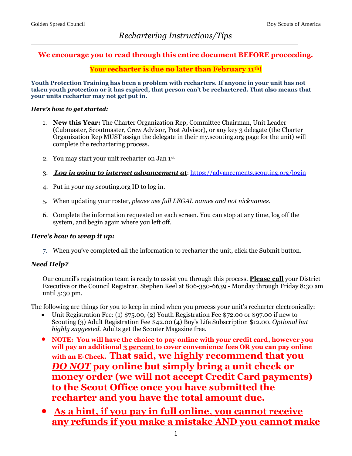# **We encourage you to read through this entire document BEFORE proceeding.**

#### **Your recharter is due no later than February 11 th!**

**Youth Protection Training has been a problem with recharters. If anyone in your unit has not taken youth protection or it has expired, that person can't be rechartered. That also means that your units recharter may not get put in.**

#### *Here's how to get started:*

- 1. **New this Year:** The Charter Organization Rep, Committee Chairman, Unit Leader (Cubmaster, Scoutmaster, Crew Advisor, Post Advisor), or any key 3 delegate (the Charter Organization Rep MUST assign the delegate in their my.scouting.org page for the unit) will complete the rechartering process.
- 2. You may start your unit recharter on Jan 1 st.
- 3. *Log in going to internet advancement at*:<https://advancements.scouting.org/login>
- 4. Put in your my.scouting.org ID to log in.
- 5. When updating your roster, *please use full LEGAL names and not nicknames*.
- 6. Complete the information requested on each screen. You can stop at any time, log off the system, and begin again where you left off.

#### *Here's how to wrap it up:*

7. When you've completed all the information to recharter the unit, click the Submit button.

#### *Need Help?*

Our council's registration team is ready to assist you through this process. **Please call** your District Executive or the Council Registrar, Stephen Keel at 806-350-6639 - Monday through Friday 8:30 am until 5:30 pm.

The following are things for you to keep in mind when you process your unit's recharter electronically:

- Unit Registration Fee: (1) \$75.00, (2) Youth Registration Fee \$72.00 or \$97.00 if new to Scouting (3) Adult Registration Fee \$42.00 (4) Boy's Life Subscription \$12.00. *Optional but highly suggested.* Adults get the Scouter Magazine free.
- **NOTE: You will have the choice to pay online with your credit card, however you will pay an additional 3 percent to cover convenience fees OR you can pay online with an E-Check. That said, we highly recommend that you**  *DO NOT* **pay online but simply bring a unit check or money order (we will not accept Credit Card payments) to the Scout Office once you have submitted the recharter and you have the total amount due.**
- **As a hint, if you pay in full online, you cannot receive any refunds if you make a mistake AND you cannot make**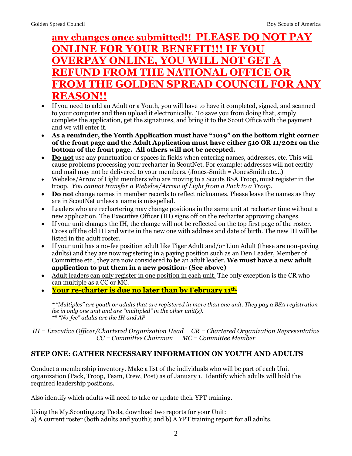# **any changes once submitted!! PLEASE DO NOT PAY ONLINE FOR YOUR BENEFIT!!! IF YOU OVERPAY ONLINE, YOU WILL NOT GET A REFUND FROM THE NATIONAL OFFICE OR FROM THE GOLDEN SPREAD COUNCIL FOR ANY REASON!!**

- If you need to add an Adult or a Youth, you will have to have it completed, signed, and scanned to your computer and then upload it electronically. To save you from doing that, simply complete the application, get the signatures, and bring it to the Scout Office with the payment and we will enter it.
- **As a reminder, the Youth Application must have "1019" on the bottom right corner of the front page and the Adult Application must have either 510 OR 11/2021 on the bottom of the front page. All others will not be accepted.**
- **Do not** use any punctuation or spaces in fields when entering names, addresses, etc. This will cause problems processing your recharter in ScoutNet. For example: addresses will not certify and mail may not be delivered to your members. (Jones-Smith = JonesSmith etc…)
- Webelos/Arrow of Light members who are moving to a Scouts BSA Troop, must register in the troop. *You cannot transfer a Webelos/Arrow of Light from a Pack to a Troop.*
- **Do not** change names in member records to reflect nicknames. Please leave the names as they are in ScoutNet unless a name is misspelled.
- Leaders who are rechartering may change positions in the same unit at recharter time without a new application. The Executive Officer (IH) signs off on the recharter approving changes.
- If your unit changes the IH, the change will not be reflected on the top first page of the roster. Cross off the old IH and write in the new one with address and date of birth. The new IH will be listed in the adult roster.
- If your unit has a no-fee position adult like Tiger Adult and/or Lion Adult (these are non-paying adults) and they are now registering in a paying position such as an Den Leader, Member of Committee etc., they are now considered to be an adult leader. **We must have a new adult application to put them in a new position- (See above)**
- Adult leaders can only register in one position in each unit. The only exception is the CR who can multiple as a CC or MC.
- **Your re-charter is due no later than by February 11 th.**

*\* "Multiples" are youth or adults that are registered in more than one unit. They pay a BSA registration fee in only one unit and are "multipled" in the other unit(s). \*\* "No-fee" adults are the IH and AP*

*IH = Executive Officer/Chartered Organization Head CR = Chartered Organization Representative CC = Committee Chairman MC = Committee Member* 

# **STEP ONE: GATHER NECESSARY INFORMATION ON YOUTH AND ADULTS**

Conduct a membership inventory. Make a list of the individuals who will be part of each Unit organization (Pack, Troop, Team, Crew, Post) as of January 1. Identify which adults will hold the required leadership positions.

Also identify which adults will need to take or update their YPT training.

Using the My.Scouting.org Tools, download two reports for your Unit: a) A current roster (both adults and youth); and b) A YPT training report for all adults.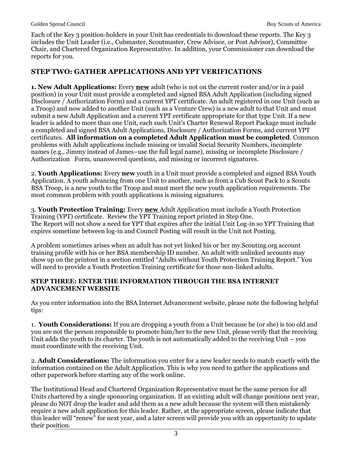Each of the Key 3 position-holders in your Unit has credentials to download these reports. The Key 3 includes the Unit Leader (i.e., Cubmaster, Scoutmaster, Crew Advisor, or Post Advisor), Committee Chair, and Chartered Organization Representative. In addition, your Commissioner can download the reports for you.

# **STEP TWO: GATHER APPLICATIONS AND YPT VERIFICATIONS**

**1. New Adult Applications:** Every **new** adult (who is not on the current roster and/or in a paid position) in your Unit must provide a completed and signed BSA Adult Application (including signed Disclosure / Authorization Form) and a current YPT certificate. An adult registered in one Unit (such as a Troop) and now added to another Unit (such as a Venture Crew) is a new adult to that Unit and must submit a new Adult Application and a current YPT certificate appropriate for that type Unit. If a new leader is added to more than one Unit, each such Unit's Charter Renewal Report Package must include a completed and signed BSA Adult Applications, Disclosure / Authorization Forms, and current YPT certificates. **All information on a completed Adult Application must be completed**. Common problems with Adult applications include missing or invalid Social Security Numbers, incomplete names (e.g., Jimmy instead of James–use the full legal name), missing or incomplete Disclosure / Authorization Form, unanswered questions, and missing or incorrect signatures.

2. **Youth Applications:** Every **new** youth in a Unit must provide a completed and signed BSA Youth Application. A youth advancing from one Unit to another, such as from a Cub Scout Pack to a Scouts BSA Troop, is a new youth to the Troop and must meet the new youth application requirements. The most common problem with youth applications is missing signatures.

3. **Youth Protection Training:** Every **new** Adult Application must include a Youth Protection Training (YPT) certificate. Review the YPT Training report printed in Step One. The Report will not show a need for YPT that expires after the initial Unit Log-in so YPT Training that expires sometime between log-in and Council Posting will result in the Unit not Posting.

A problem sometimes arises when an adult has not yet linked his or her my.Scouting.org account training profile with his or her BSA membership ID number. An adult with unlinked accounts may show up on the printout in a section entitled "Adults without Youth Protection Training Report." You will need to provide a Youth Protection Training certificate for those non-linked adults.

#### **STEP THREE: ENTER THE INFORMATION THROUGH THE BSA INTERNET ADVANCEMENT WEBSITE**

As you enter information into the BSA Internet Advancement website, please note the following helpful tips:

1. **Youth Considerations:** If you are dropping a youth from a Unit because he (or she) is too old and you are not the person responsible to promote him/her to the new Unit, please verify that the receiving Unit adds the youth to its charter. The youth is not automatically added to the receiving Unit  $-$  you must coordinate with the receiving Unit.

2. **Adult Considerations:** The information you enter for a new leader needs to match exactly with the information contained on the Adult Application. This is why you need to gather the applications and other paperwork before starting any of the work online.

The Institutional Head and Chartered Organization Representative must be the same person for all Units chartered by a single sponsoring organization. If an existing adult will change positions next year, please do NOT drop the leader and add them as a new adult because the system will then mistakenly require a new adult application for this leader. Rather, at the appropriate screen, please indicate that this leader will "renew" for next year, and a later screen will provide you with an opportunity to update their position.